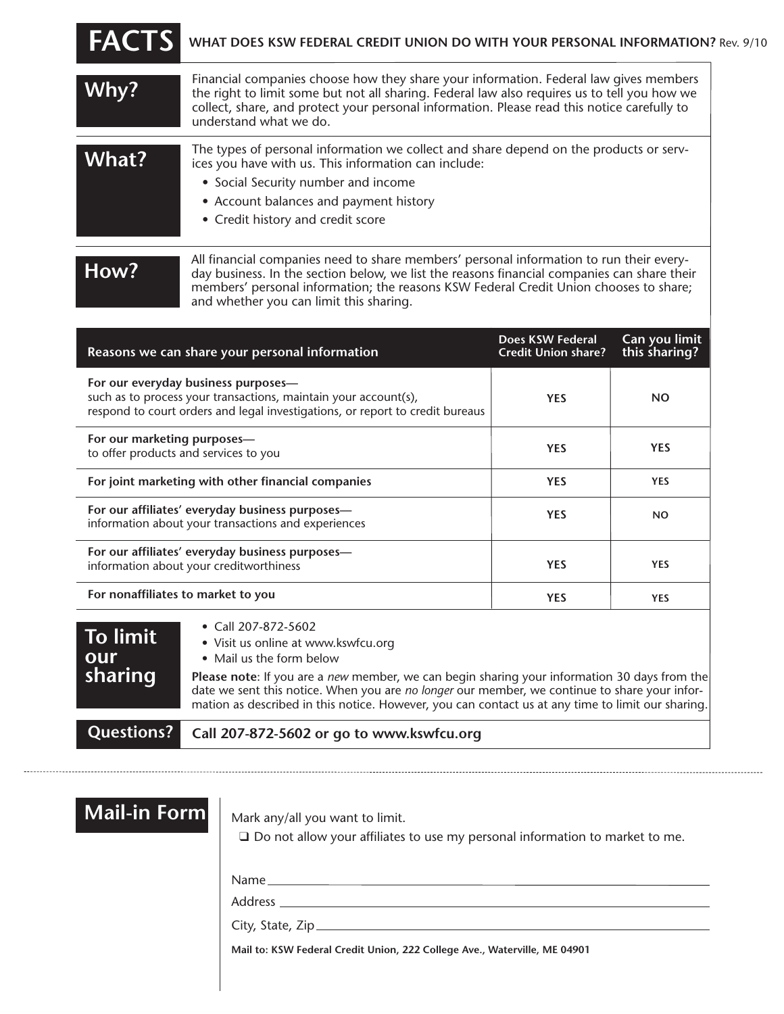| <b>FACTS</b> | WHAT DOES KSW FEDERAL CREDIT UNION DO WITH YOUR PERSONAL INFORMATION? Rev. 9/10                                                                                                                                                                                                                                            |
|--------------|----------------------------------------------------------------------------------------------------------------------------------------------------------------------------------------------------------------------------------------------------------------------------------------------------------------------------|
| Why?         | Financial companies choose how they share your information. Federal law gives members<br>the right to limit some but not all sharing. Federal law also requires us to tell you how we<br>collect, share, and protect your personal information. Please read this notice carefully to<br>understand what we do.             |
| What?        | The types of personal information we collect and share depend on the products or serv-<br>ices you have with us. This information can include:<br>• Social Security number and income<br>• Account balances and payment history<br>• Credit history and credit score                                                       |
| How?         | All financial companies need to share members' personal information to run their every-<br>day business. In the section below, we list the reasons financial companies can share their<br>members' personal information; the reasons KSW Federal Credit Union chooses to share;<br>and whether you can limit this sharing. |

| Reasons we can share your personal information                                                                                                                                          | Does KSW Federal<br><b>Credit Union share?</b> | Can you limit<br>this sharing? |
|-----------------------------------------------------------------------------------------------------------------------------------------------------------------------------------------|------------------------------------------------|--------------------------------|
| For our everyday business purposes-<br>such as to process your transactions, maintain your account(s),<br>respond to court orders and legal investigations, or report to credit bureaus | <b>YES</b>                                     | <b>NO</b>                      |
| For our marketing purposes—<br>to offer products and services to you                                                                                                                    | <b>YES</b>                                     | <b>YES</b>                     |
| For joint marketing with other financial companies                                                                                                                                      | <b>YES</b>                                     | <b>YES</b>                     |
| For our affiliates' everyday business purposes-<br>information about your transactions and experiences                                                                                  | <b>YES</b>                                     | <b>NO</b>                      |
| For our affiliates' everyday business purposes-<br>information about your creditworthiness                                                                                              | <b>YES</b>                                     | <b>YES</b>                     |
| For nonaffiliates to market to you                                                                                                                                                      | <b>YES</b>                                     | <b>YES</b>                     |

| To limit<br>our<br>sharing | • Call 207-872-5602<br>• Visit us online at www.kswfcu.org<br>• Mail us the form below<br><b>Please note:</b> If you are a new member, we can begin sharing your information 30 days from the<br>date we sent this notice. When you are no longer our member, we continue to share your infor-<br>mation as described in this notice. However, you can contact us at any time to limit our sharing. |
|----------------------------|-----------------------------------------------------------------------------------------------------------------------------------------------------------------------------------------------------------------------------------------------------------------------------------------------------------------------------------------------------------------------------------------------------|
|                            | Questions? Call 207-872-5602 or go to www.kswfcu.org                                                                                                                                                                                                                                                                                                                                                |

| <b>Mail-in Forml</b> |  |
|----------------------|--|

Mark any/all you want to limit.

□ Do not allow your affiliates to use my personal information to market to me.

Name

Address

City, State, Zip

**Mail to: KSW Federal Credit Union, 222 College Ave., Waterville, ME 04901**